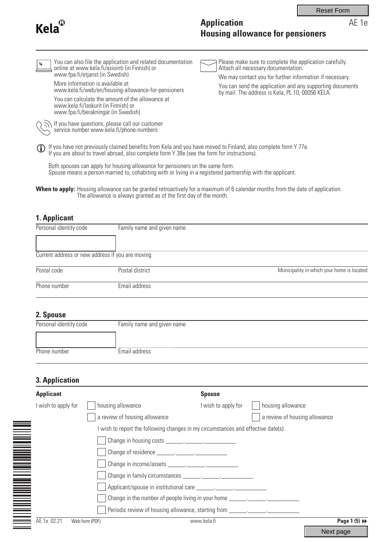| A<br>Kela |
|-----------|
|-----------|

# **Application Housing allowance for pensioners**

| You can also file the application and related documentation<br>$\boldsymbol{z}$<br>online at www.kela.fi/asiointi (in Finnish) or<br>www.fpa.fi/etjanst (in Swedish)<br>More information is available at<br>www.kela.fi/web/en/housing-allowance-for-pensioners<br>You can calculate the amount of the allowance at<br>www.kela.fi/laskurit (in Finnish) or<br>www.fpa.fi/berakningar (in Swedish)<br>If you have questions, please call our customer<br>service number www.kela.fi/phone-numbers | Please make sure to complete the application carefully.<br>Attach all necessary documentation.<br>We may contact you for further information if necessary.<br>You can send the application and any supporting documents<br>by mail. The address is Kela, PL 10, 00056 KELA. |
|---------------------------------------------------------------------------------------------------------------------------------------------------------------------------------------------------------------------------------------------------------------------------------------------------------------------------------------------------------------------------------------------------------------------------------------------------------------------------------------------------|-----------------------------------------------------------------------------------------------------------------------------------------------------------------------------------------------------------------------------------------------------------------------------|
| If you have not previously claimed benefits from Kela and you have moved to Finland, also complete form Y 77e.<br>If you are about to travel abroad, also complete form Y 38e (see the form for instructions).<br>(i)<br>Both spouses can apply for housing allowance for pensioners on the same form.<br>Spouse means a person married to, cohabiting with or living in a registered partnership with the applicant.                                                                             |                                                                                                                                                                                                                                                                             |

Housing allowance can be granted retroactively for a maximum of 6 calendar months from the date of application. The allowance is always granted as of the first day of the month. **When to apply:**

# **1. Applicant**

| Personal identity code | Family name and given name                       |                                            |
|------------------------|--------------------------------------------------|--------------------------------------------|
|                        |                                                  |                                            |
|                        | Current address or new address if you are moving |                                            |
| Postal code            | Postal district                                  | Municipality in which your home is located |
| Phone number           | Email address                                    |                                            |

## **2. Spouse**

| Personal identity code | Family name and given name |
|------------------------|----------------------------|
|                        |                            |
| Phone number           | Email address              |

# **3. Application**

| <b>Applicant</b>    | <b>Spouse</b>                                                                     |  |
|---------------------|-----------------------------------------------------------------------------------|--|
| I wish to apply for | housing allowance<br>housing allowance<br>I wish to apply for                     |  |
|                     | a review of housing allowance<br>a review of housing allowance                    |  |
|                     | I wish to report the following changes in my circumstances and effective date(s): |  |
|                     |                                                                                   |  |
|                     |                                                                                   |  |
|                     |                                                                                   |  |
|                     |                                                                                   |  |
|                     |                                                                                   |  |
|                     | Change in the number of people living in your home ______________________________ |  |
|                     | Periodic review of housing allowance, starting from ____________________________  |  |
| AE 1e 02.21         | Page 1 (5) ▶<br>Web form (PDF)<br>www.kela.fi                                     |  |
|                     | Next page                                                                         |  |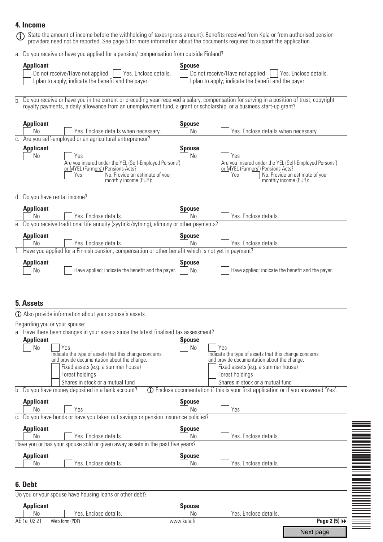#### **4. Income**



| Jext page |
|-----------|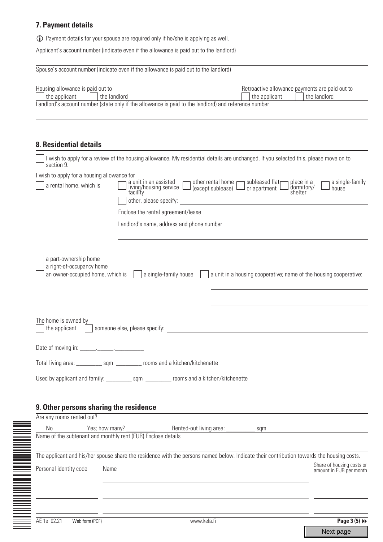## **7. Payment details**

L Payment details for your spouse are required only if he/she is applying as well.

Applicant's account number (indicate even if the allowance is paid out to the landlord)

| Housing allowance is paid out to<br>the applicant  | the landlord                                                                                         | Retroactive allowance payments are paid out to<br>the landlord<br>the applicant                                                           |
|----------------------------------------------------|------------------------------------------------------------------------------------------------------|-------------------------------------------------------------------------------------------------------------------------------------------|
|                                                    | Landlord's account number (state only if the allowance is paid to the landlord) and reference number |                                                                                                                                           |
|                                                    |                                                                                                      |                                                                                                                                           |
|                                                    |                                                                                                      |                                                                                                                                           |
| <b>8. Residential details</b>                      |                                                                                                      |                                                                                                                                           |
| section 9.                                         |                                                                                                      | I wish to apply for a review of the housing allowance. My residential details are unchanged. If you selected this, please move on to      |
| I wish to apply for a housing allowance for        | other rental home                                                                                    |                                                                                                                                           |
| a rental home, which is                            | a unit in an assisted<br>living/housing service<br>facility                                          | subleased flatr<br>a single-family<br>place in a<br>dormitory/<br>shelter<br>(except sublease) $\Box$ or apartment<br>house               |
|                                                    | other, please specify:                                                                               |                                                                                                                                           |
|                                                    | Enclose the rental agreement/lease                                                                   |                                                                                                                                           |
|                                                    | Landlord's name, address and phone number                                                            |                                                                                                                                           |
|                                                    |                                                                                                      |                                                                                                                                           |
|                                                    |                                                                                                      |                                                                                                                                           |
|                                                    |                                                                                                      |                                                                                                                                           |
| a part-ownership home<br>a right-of-occupancy home |                                                                                                      |                                                                                                                                           |
| an owner-occupied home, which is                   | a single-family house                                                                                | a unit in a housing cooperative; name of the housing cooperative:                                                                         |
|                                                    |                                                                                                      |                                                                                                                                           |
|                                                    |                                                                                                      |                                                                                                                                           |
|                                                    |                                                                                                      |                                                                                                                                           |
| The home is owned by                               |                                                                                                      |                                                                                                                                           |
| the applicant                                      | someone else, please specify:                                                                        |                                                                                                                                           |
|                                                    |                                                                                                      |                                                                                                                                           |
|                                                    |                                                                                                      |                                                                                                                                           |
|                                                    | Total living area: _____________ sqm ___________ rooms and a kitchen/kitchenette                     |                                                                                                                                           |
|                                                    |                                                                                                      |                                                                                                                                           |
|                                                    |                                                                                                      |                                                                                                                                           |
| 9. Other persons sharing the residence             |                                                                                                      |                                                                                                                                           |
| Are any rooms rented out?                          |                                                                                                      |                                                                                                                                           |
| No                                                 |                                                                                                      |                                                                                                                                           |
|                                                    | Name of the subtenant and monthly rent (EUR) Enclose details                                         |                                                                                                                                           |
|                                                    |                                                                                                      | The applicant and his/her spouse share the residence with the persons named below. Indicate their contribution towards the housing costs. |
| Personal identity code                             | Name                                                                                                 | Share of housing costs or<br>amount in EUR per month                                                                                      |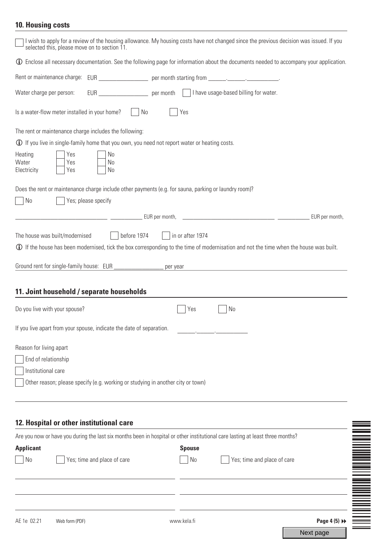# **10. Housing costs**

| I wish to apply for a review of the housing allowance. My housing costs have not changed since the previous decision was issued. If you<br>selected this, please move on to section 11.                                                                                                           |
|---------------------------------------------------------------------------------------------------------------------------------------------------------------------------------------------------------------------------------------------------------------------------------------------------|
| <b>1</b> Enclose all necessary documentation. See the following page for information about the documents needed to accompany your application.                                                                                                                                                    |
| Rent or maintenance charge: EUR ______________________ per month starting from _______________________________                                                                                                                                                                                    |
| Water charge per person:                                                                                                                                                                                                                                                                          |
| Is a water-flow meter installed in your home? $\vert$ No<br>Yes                                                                                                                                                                                                                                   |
| The rent or maintenance charge includes the following:                                                                                                                                                                                                                                            |
| <b>1</b> If you live in single-family home that you own, you need not report water or heating costs.                                                                                                                                                                                              |
| Heating<br>Yes<br>N <sub>0</sub><br>Water<br>Yes<br>No<br>Electricity<br>Yes<br>N <sub>0</sub>                                                                                                                                                                                                    |
| Does the rent or maintenance charge include other payments (e.g. for sauna, parking or laundry room)?<br>No<br>Yes; please specify                                                                                                                                                                |
|                                                                                                                                                                                                                                                                                                   |
| The house was built/modernised $\vert$   before 1974   in or after 1974<br><b>1</b> If the house has been modernised, tick the box corresponding to the time of modernisation and not the time when the house was built.<br>Ground rent for single-family house: EUR ___________________ per year |
| 11. Joint household / separate households                                                                                                                                                                                                                                                         |
| Do you live with your spouse?<br>No<br>Yes                                                                                                                                                                                                                                                        |
| If you live apart from your spouse, indicate the date of separation.                                                                                                                                                                                                                              |
| Reason for living apart                                                                                                                                                                                                                                                                           |
| End of relationship                                                                                                                                                                                                                                                                               |
| Institutional care                                                                                                                                                                                                                                                                                |
| Other reason; please specify (e.g. working or studying in another city or town)                                                                                                                                                                                                                   |
| 12. Hospital or other institutional care                                                                                                                                                                                                                                                          |
| Are you now or have you during the last six months been in hospital or other institutional care lasting at least three months?                                                                                                                                                                    |
| <b>Applicant</b><br><b>Spouse</b>                                                                                                                                                                                                                                                                 |

| <b>Applicant</b> |                             | <b>Spouse</b> |                             |                            |                                                                                                                |
|------------------|-----------------------------|---------------|-----------------------------|----------------------------|----------------------------------------------------------------------------------------------------------------|
| N <sub>0</sub>   | Yes; time and place of care | No            | Yes; time and place of care |                            |                                                                                                                |
|                  |                             |               |                             |                            |                                                                                                                |
|                  |                             |               |                             |                            | NA MANUS MANUS MANUS MANUS MANUS MANUS MANUS MANUS MANUS MANUS MANUS MANUS MANUS MANUS MANUS MANUS MANUS MANUS |
| AE 1e 02.21      | Web form (PDF)              | www.kela.fi   |                             | Page 4 $(5)$ $\rightarrow$ |                                                                                                                |

Next page